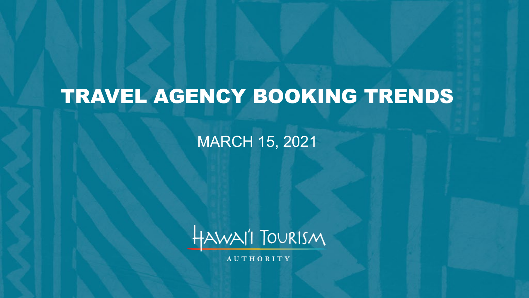# TRAVEL AGENCY BOOKING TRENDS

MARCH 15, 2021



**AUTHORITY**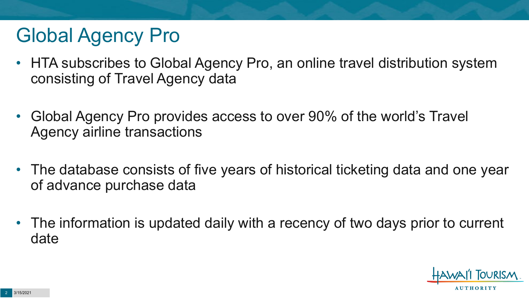# Global Agency Pro

- HTA subscribes to Global Agency Pro, an online travel distribution system consisting of Travel Agency data
- Global Agency Pro provides access to over 90% of the world's Travel Agency airline transactions
- The database consists of five years of historical ticketing data and one year of advance purchase data
- The information is updated daily with a recency of two days prior to current date

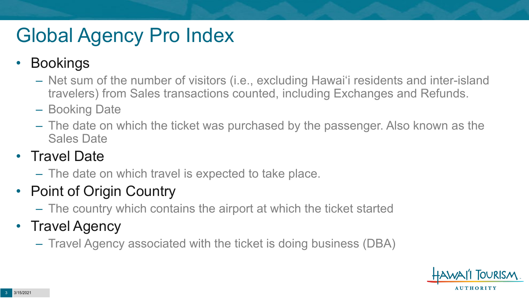# Global Agency Pro Index

### • Bookings

- Net sum of the number of visitors (i.e., excluding Hawai'i residents and inter-island travelers) from Sales transactions counted, including Exchanges and Refunds.
- Booking Date
- The date on which the ticket was purchased by the passenger. Also known as the Sales Date

### • Travel Date

– The date on which travel is expected to take place.

### • Point of Origin Country

– The country which contains the airport at which the ticket started

### • Travel Agency

– Travel Agency associated with the ticket is doing business (DBA)

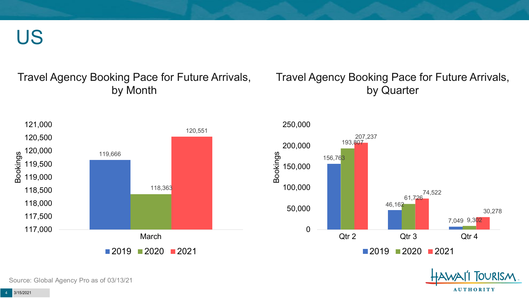US

#### Travel Agency Booking Pace for Future Arrivals, by Month

#### Travel Agency Booking Pace for Future Arrivals, by Quarter

**OURISM** 

**AUTHORITY** 



Source: Global Agency Pro as of 03/13/21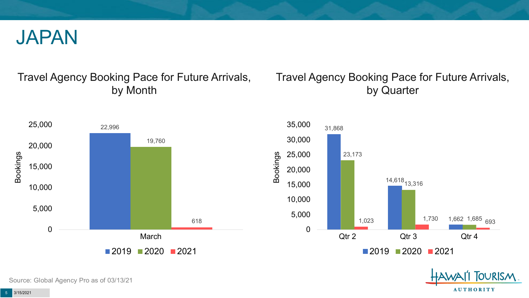

#### Travel Agency Booking Pace for Future Arrivals, by Month

#### Travel Agency Booking Pace for Future Arrivals, by Quarter

OURISM.

**AUTHORITY** 



Source: Global Agency Pro as of 03/13/21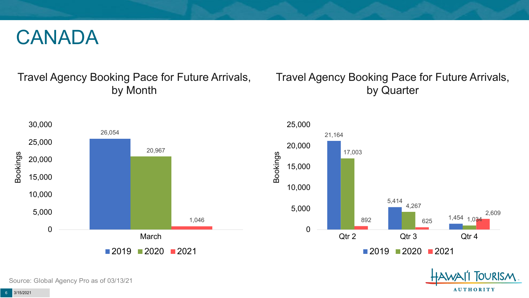## CANADA

#### Travel Agency Booking Pace for Future Arrivals, by Month

#### Travel Agency Booking Pace for Future Arrivals, by Quarter

**FOURISM** 

**AUTHORITY** 



Source: Global Agency Pro as of 03/13/21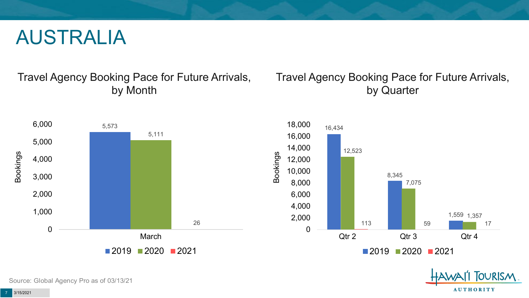## AUSTRALIA

Travel Agency Booking Pace for Future Arrivals, by Month

#### Travel Agency Booking Pace for Future Arrivals, by Quarter



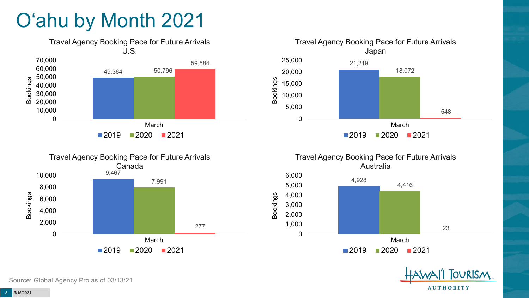# O'ahu by Month 2021









**OURISM AUTHORITY**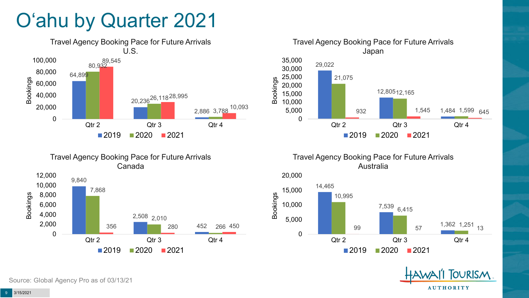# O'ahu by Quarter 2021





Travel Agency Booking Pace for Future Arrivals Australia







Travel Agency Booking Pace for Future Arrivals Canada

Source: Global Agency Pro as of 03/13/21

12,000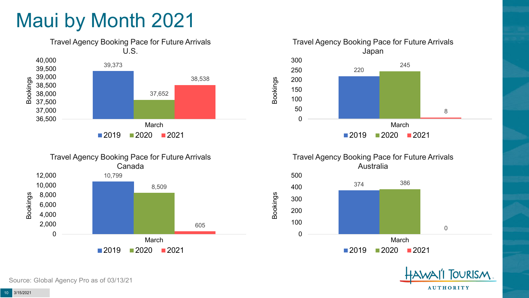# Maui by Month 2021









Bookings





Source: Global Agency Pro as of 03/13/21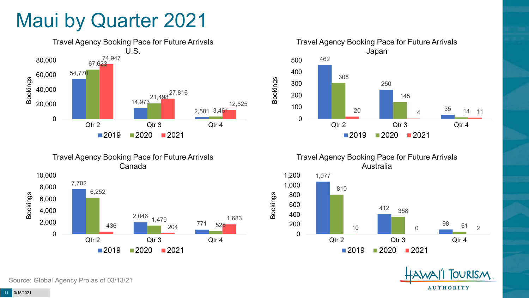## Maui by Quarter 2021







Travel Agency Booking Pace for Future Arrivals Australia



Bookings

**OURISM AUTHORITY** 

Source: Global Agency Pro as of 03/13/21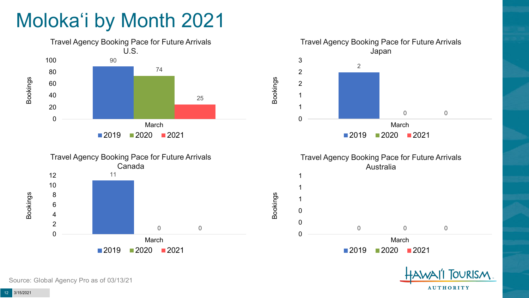# Moloka'i by Month 2021



Source: Global Agency Pro as of 03/13/21

**AUTHORITY**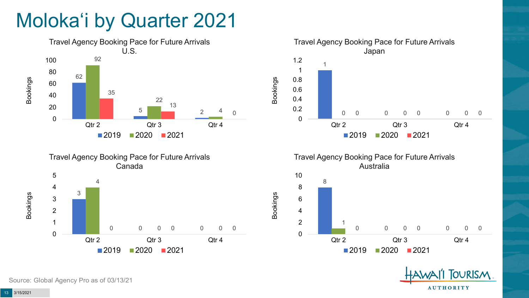# Moloka'i by Quarter 2021











Source: Global Agency Pro as of 03/13/21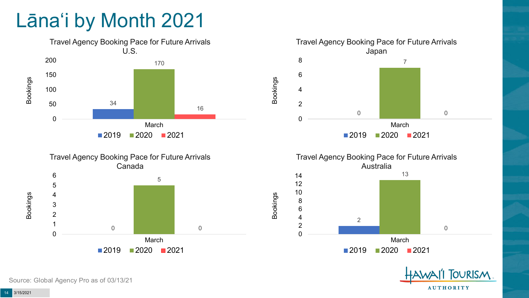# Lāna'i by Month 2021









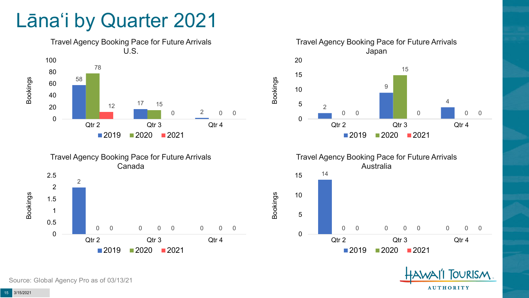## Lāna'i by Quarter 2021





Travel Agency Booking Pace for Future Arrivals Japan  $\Omega$  0 0 0 Qtr 2 Qtr 3 Qtr 4 2020 2021

Bookings



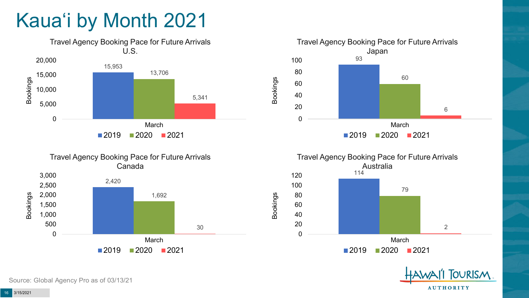# Kaua'i by Month 2021









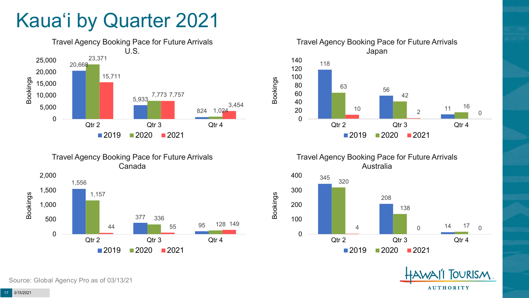# Kaua'i by Quarter 2021







Travel Agency Booking Pace for Future Arrivals Australia

Bookings



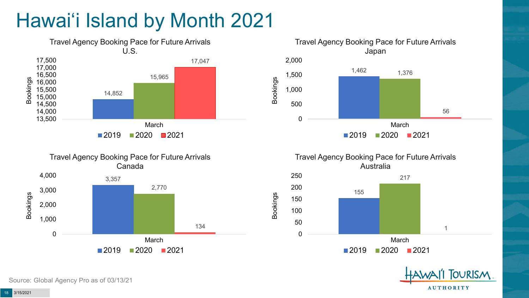# Hawai'i Island by Month 2021











Source: Global Agency Pro as of 03/13/21